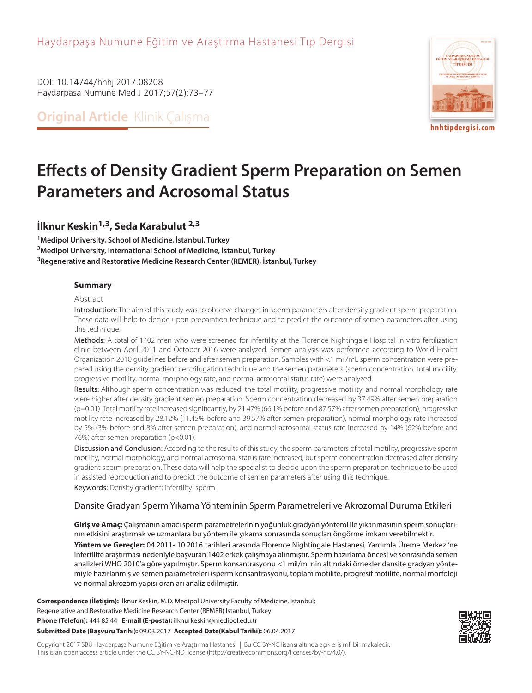DOI: 10.14744/hnhj.2017.08208 Haydarpasa Numune Med J 2017;57(2):73–77

**Original Article** Klinik Çalışma



# **Effects of Density Gradient Sperm Preparation on Semen Parameters and Acrosomal Status**

## **İlknur Keskin1,3, Seda Karabulut 2,3**

**1Medipol University, School of Medicine, İstanbul, Turkey 2Medipol University, International School of Medicine, İstanbul, Turkey 3Regenerative and Restorative Medicine Research Center (REMER), İstanbul, Turkey**

#### **Summary**

#### Abstract

Introduction: The aim of this study was to observe changes in sperm parameters after density gradient sperm preparation. These data will help to decide upon preparation technique and to predict the outcome of semen parameters after using this technique.

Methods: A total of 1402 men who were screened for infertility at the Florence Nightingale Hospital in vitro fertilization clinic between April 2011 and October 2016 were analyzed. Semen analysis was performed according to World Health Organization 2010 guidelines before and after semen preparation. Samples with <1 mil/mL sperm concentration were prepared using the density gradient centrifugation technique and the semen parameters (sperm concentration, total motility, progressive motility, normal morphology rate, and normal acrosomal status rate) were analyzed.

Results: Although sperm concentration was reduced, the total motility, progressive motility, and normal morphology rate were higher after density gradient semen preparation. Sperm concentration decreased by 37.49% after semen preparation (p=0.01). Total motility rate increased significantly, by 21.47% (66.1% before and 87.57% after semen preparation), progressive motility rate increased by 28.12% (11.45% before and 39.57% after semen preparation), normal morphology rate increased by 5% (3% before and 8% after semen preparation), and normal acrosomal status rate increased by 14% (62% before and 76%) after semen preparation (p<0.01).

Discussion and Conclusion: According to the results of this study, the sperm parameters of total motility, progressive sperm motility, normal morphology, and normal acrosomal status rate increased, but sperm concentration decreased after density gradient sperm preparation. These data will help the specialist to decide upon the sperm preparation technique to be used in assisted reproduction and to predict the outcome of semen parameters after using this technique.

Keywords: Density gradient; infertility; sperm.

## Dansite Gradyan Sperm Yıkama Yönteminin Sperm Parametreleri ve Akrozomal Duruma Etkileri

**Giriş ve Amaç:** Çalışmanın amacı sperm parametrelerinin yoğunluk gradyan yöntemi ile yıkanmasının sperm sonuçlarının etkisini araştırmak ve uzmanlara bu yöntem ile yıkama sonrasında sonuçları öngörme imkanı verebilmektir.

**Yöntem ve Gereçler:** 04.2011- 10.2016 tarihleri arasında Florence Nightingale Hastanesi, Yardımla Üreme Merkezi'ne infertilite araştırması nedeniyle başvuran 1402 erkek çalışmaya alınmıştır. Sperm hazırlama öncesi ve sonrasında semen analizleri WHO 2010'a göre yapılmıştır. Sperm konsantrasyonu <1 mil/ml nin altındaki örnekler dansite gradyan yöntemiyle hazırlanmış ve semen parametreleri (sperm konsantrasyonu, toplam motilite, progresif motilite, normal morfoloji ve normal akrozom yapısı oranları analiz edilmiştir.

**Correspondence (İletişim):** İlknur Keskin, M.D. Medipol University Faculty of Medicine, İstanbul; Regenerative and Restorative Medicine Research Center (REMER) Istanbul, Turkey **Phone (Telefon):** 444 85 44 **E-mail (E-posta):** ilknurkeskin@medipol.edu.tr **Submitted Date (Başvuru Tarihi):** 09.03.2017 **Accepted Date(Kabul Tarihi):** 06.04.2017



Copyright 2017 SBÜ Haydarpaşa Numune Eğitim ve Araştırma Hastanesi | Bu CC BY-NC lisansı altında açık erişimli bir makaledir. This is an open access article under the CC BY-NC-ND license (http://creativecommons.org/licenses/by-nc/4.0/).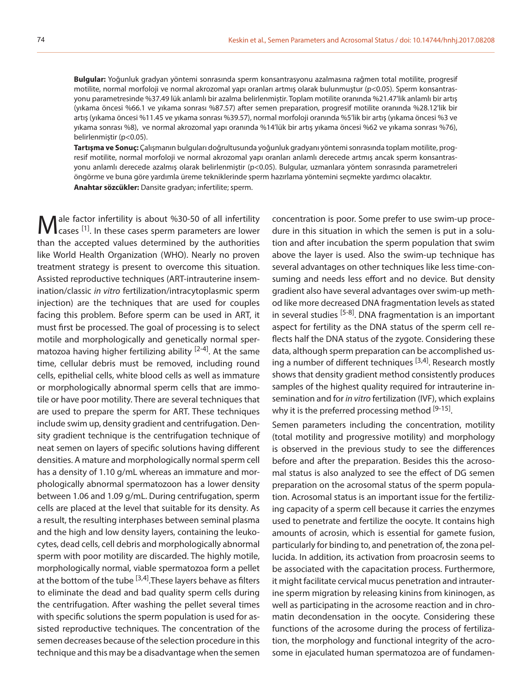**Bulgular:** Yoğunluk gradyan yöntemi sonrasında sperm konsantrasyonu azalmasına rağmen total motilite, progresif motilite, normal morfoloji ve normal akrozomal yapı oranları artmış olarak bulunmuştur (p<0.05). Sperm konsantrasyonu parametresinde %37.49 lük anlamlı bir azalma belirlenmiştir. Toplam motilite oranında %21.47'lik anlamlı bir artış (yıkama öncesi %66.1 ve yıkama sonrası %87.57) after semen preparation, progresif motilite oranında %28.12'lik bir artış (yıkama öncesi %11.45 ve yıkama sonrası %39.57), normal morfoloji oranında %5'lik bir artış (yıkama öncesi %3 ve yıkama sonrası %8), ve normal akrozomal yapı oranında %14'lük bir artış yıkama öncesi %62 ve yıkama sonrası %76), belirlenmiştir (p<0.05).

**Tartışma ve Sonuç:** Çalışmanın bulguları doğrultusunda yoğunluk gradyanı yöntemi sonrasında toplam motilite, progresif motilite, normal morfoloji ve normal akrozomal yapı oranları anlamlı derecede artmış ancak sperm konsantrasyonu anlamlı derecede azalmış olarak belirlenmiştir (p<0.05). Bulgular, uzmanlara yöntem sonrasında parametreleri öngörme ve buna göre yardımla üreme tekniklerinde sperm hazırlama yöntemini seçmekte yardımcı olacaktır. **Anahtar sözcükler:** Dansite gradyan; infertilite; sperm.

Male factor infertility is about %30-50 of all infertility cases <sup>[1]</sup>. In these cases sperm parameters are lower than the accepted values determined by the authorities like World Health Organization (WHO). Nearly no proven treatment strategy is present to overcome this situation. Assisted reproductive techniques (ART-intrauterine insemination/classic *in vitro* fertilization/intracytoplasmic sperm injection) are the techniques that are used for couples facing this problem. Before sperm can be used in ART, it must first be processed. The goal of processing is to select motile and morphologically and genetically normal spermatozoa having higher fertilizing ability  $[2-4]$ . At the same time, cellular debris must be removed, including round cells, epithelial cells, white blood cells as well as immature or morphologically abnormal sperm cells that are immotile or have poor motility. There are several techniques that are used to prepare the sperm for ART. These techniques include swim up, density gradient and centrifugation. Density gradient technique is the centrifugation technique of neat semen on layers of specific solutions having different densities. A mature and morphologically normal sperm cell has a density of 1.10 g/mL whereas an immature and morphologically abnormal spermatozoon has a lower density between 1.06 and 1.09 g/mL. During centrifugation, sperm cells are placed at the level that suitable for its density. As a result, the resulting interphases between seminal plasma and the high and low density layers, containing the leukocytes, dead cells, cell debris and morphologically abnormal sperm with poor motility are discarded. The highly motile, morphologically normal, viable spermatozoa form a pellet at the bottom of the tube  $[3,4]$ . These layers behave as filters to eliminate the dead and bad quality sperm cells during the centrifugation. After washing the pellet several times with specific solutions the sperm population is used for assisted reproductive techniques. The concentration of the semen decreases because of the selection procedure in this technique and this may be a disadvantage when the semen

concentration is poor. Some prefer to use swim-up procedure in this situation in which the semen is put in a solution and after incubation the sperm population that swim above the layer is used. Also the swim-up technique has several advantages on other techniques like less time-consuming and needs less effort and no device. But density gradient also have several advantages over swim-up method like more decreased DNA fragmentation levels as stated in several studies  $[5-8]$ . DNA fragmentation is an important aspect for fertility as the DNA status of the sperm cell reflects half the DNA status of the zygote. Considering these data, although sperm preparation can be accomplished using a number of different techniques [3,4]. Research mostly shows that density gradient method consistently produces samples of the highest quality required for intrauterine insemination and for *in vitro* fertilization (IVF), which explains why it is the preferred processing method  $[9-15]$ .

Semen parameters including the concentration, motility (total motility and progressive motility) and morphology is observed in the previous study to see the differences before and after the preparation. Besides this the acrosomal status is also analyzed to see the effect of DG semen preparation on the acrosomal status of the sperm population. Acrosomal status is an important issue for the fertilizing capacity of a sperm cell because it carries the enzymes used to penetrate and fertilize the oocyte. It contains high amounts of acrosin, which is essential for gamete fusion, particularly for binding to, and penetration of, the zona pellucida. In addition, its activation from proacrosin seems to be associated with the capacitation process. Furthermore, it might facilitate cervical mucus penetration and intrauterine sperm migration by releasing kinins from kininogen, as well as participating in the acrosome reaction and in chromatin decondensation in the oocyte. Considering these functions of the acrosome during the process of fertilization, the morphology and functional integrity of the acrosome in ejaculated human spermatozoa are of fundamen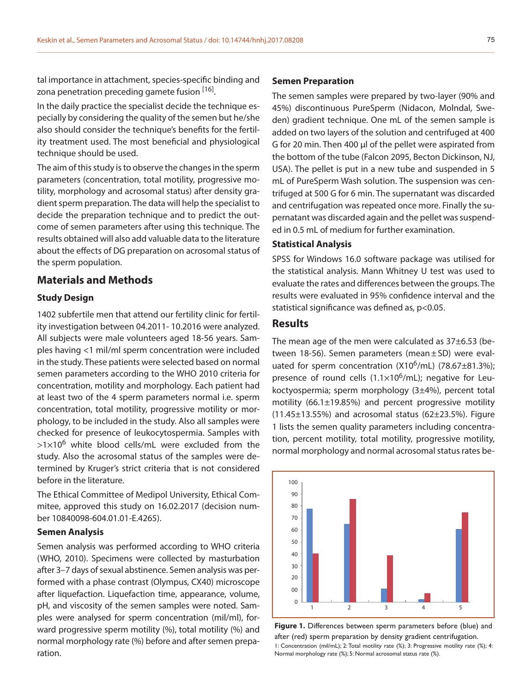tal importance in attachment, species-specific binding and zona penetration preceding gamete fusion <sup>[16]</sup>.

In the daily practice the specialist decide the technique especially by considering the quality of the semen but he/she also should consider the technique's benefits for the fertility treatment used. The most beneficial and physiological technique should be used.

The aim of this study is to observe the changes in the sperm parameters (concentration, total motility, progressive motility, morphology and acrosomal status) after density gradient sperm preparation. The data will help the specialist to decide the preparation technique and to predict the outcome of semen parameters after using this technique. The results obtained will also add valuable data to the literature about the effects of DG preparation on acrosomal status of the sperm population.

## **Materials and Methods**

#### **Study Design**

1402 subfertile men that attend our fertility clinic for fertility investigation between 04.2011- 10.2016 were analyzed. All subjects were male volunteers aged 18-56 years. Samples having <1 mil/ml sperm concentration were included in the study. These patients were selected based on normal semen parameters according to the WHO 2010 criteria for concentration, motility and morphology. Each patient had at least two of the 4 sperm parameters normal i.e. sperm concentration, total motility, progressive motility or morphology, to be included in the study. Also all samples were checked for presence of leukocytospermia. Samples with  $>1\times10^6$  white blood cells/mL were excluded from the study. Also the acrosomal status of the samples were determined by Kruger's strict criteria that is not considered before in the literature.

The Ethical Committee of Medipol University, Ethical Commitee, approved this study on 16.02.2017 (decision number 10840098-604.01.01-E.4265).

#### **Semen Analysis**

Semen analysis was performed according to WHO criteria (WHO, 2010). Specimens were collected by masturbation after 3–7 days of sexual abstinence. Semen analysis was performed with a phase contrast (Olympus, CX40) microscope after liquefaction. Liquefaction time, appearance, volume, pH, and viscosity of the semen samples were noted. Samples were analysed for sperm concentration (mil/ml), forward progressive sperm motility (%), total motility (%) and normal morphology rate (%) before and after semen preparation.

#### **Semen Preparation**

The semen samples were prepared by two-layer (90% and 45%) discontinuous PureSperm (Nidacon, Molndal, Sweden) gradient technique. One mL of the semen sample is added on two layers of the solution and centrifuged at 400 G for 20 min. Then 400 µl of the pellet were aspirated from the bottom of the tube (Falcon 2095, Becton Dickinson, NJ, USA). The pellet is put in a new tube and suspended in 5 mL of PureSperm Wash solution. The suspension was centrifuged at 500 G for 6 min. The supernatant was discarded and centrifugation was repeated once more. Finally the supernatant was discarded again and the pellet was suspended in 0.5 mL of medium for further examination.

#### **Statistical Analysis**

SPSS for Windows 16.0 software package was utilised for the statistical analysis. Mann Whitney U test was used to evaluate the rates and differences between the groups. The results were evaluated in 95% confidence interval and the statistical significance was defined as, p<0.05.

## **Results**

The mean age of the men were calculated as 37±6.53 (between 18-56). Semen parameters (mean±SD) were evaluated for sperm concentration  $(X10^6/mL)$  (78.67 $\pm$ 81.3%); presence of round cells  $(1.1 \times 10^6/\text{mL})$ ; negative for Leukoctyospermia; sperm morphology (3±4%), percent total motility (66.1±19.85%) and percent progressive motility (11.45 $\pm$ 13.55%) and acrosomal status (62 $\pm$ 23.5%). Figure 1 lists the semen quality parameters including concentration, percent motility, total motility, progressive motility, normal morphology and normal acrosomal status rates be-



**Figure 1.** Differences between sperm parameters before (blue) and after (red) sperm preparation by density gradient centrifugation. 1: Concentration (mil/mL); 2: Total motility rate (%); 3: Progressive motility rate (%); 4: Normal morphology rate (%); 5: Normal acrosomal status rate (%).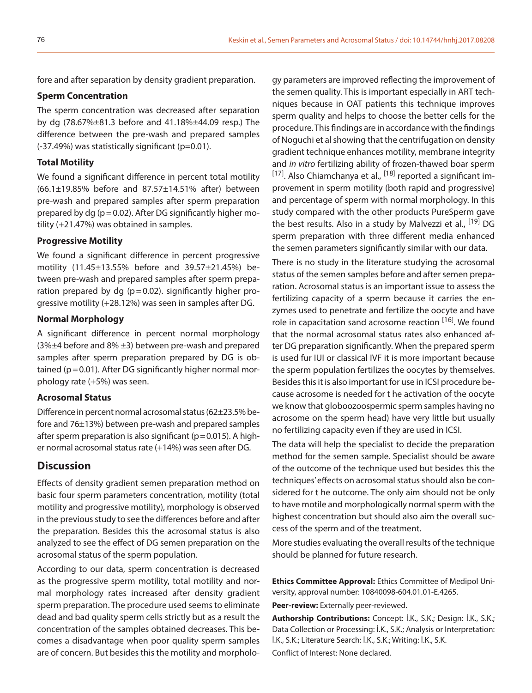fore and after separation by density gradient preparation.

#### **Sperm Concentration**

The sperm concentration was decreased after separation by dg (78.67%±81.3 before and 41.18%±44.09 resp.) The difference between the pre-wash and prepared samples  $(-37.49%)$  was statistically significant (p=0.01).

#### **Total Motility**

We found a significant difference in percent total motility (66.1±19.85% before and 87.57±14.51% after) between pre-wash and prepared samples after sperm preparation prepared by dg (p=0.02). After DG significantly higher motility (+21.47%) was obtained in samples.

#### **Progressive Motility**

We found a significant difference in percent progressive motility (11.45±13.55% before and 39.57±21.45%) between pre-wash and prepared samples after sperm preparation prepared by dg  $(p=0.02)$ . significantly higher progressive motility (+28.12%) was seen in samples after DG.

### **Normal Morphology**

A significant difference in percent normal morphology  $(3\% \pm 4$  before and  $8\% \pm 3$ ) between pre-wash and prepared samples after sperm preparation prepared by DG is obtained ( $p = 0.01$ ). After DG significantly higher normal morphology rate (+5%) was seen.

#### **Acrosomal Status**

Difference in percent normal acrosomal status (62±23.5% before and 76±13%) between pre-wash and prepared samples after sperm preparation is also significant ( $p=0.015$ ). A higher normal acrosomal status rate (+14%) was seen after DG.

## **Discussion**

Effects of density gradient semen preparation method on basic four sperm parameters concentration, motility (total motility and progressive motility), morphology is observed in the previous study to see the differences before and after the preparation. Besides this the acrosomal status is also analyzed to see the effect of DG semen preparation on the acrosomal status of the sperm population.

According to our data, sperm concentration is decreased as the progressive sperm motility, total motility and normal morphology rates increased after density gradient sperm preparation. The procedure used seems to eliminate dead and bad quality sperm cells strictly but as a result the concentration of the samples obtained decreases. This becomes a disadvantage when poor quality sperm samples are of concern. But besides this the motility and morpholo-

gy parameters are improved reflecting the improvement of the semen quality. This is important especially in ART techniques because in OAT patients this technique improves sperm quality and helps to choose the better cells for the procedure. This findings are in accordance with the findings of Noguchi et al showing that the centrifugation on density gradient technique enhances motility, membrane integrity and *in vitro* fertilizing ability of frozen-thawed boar sperm [17]. Also Chiamchanya et al., <sup>[18]</sup> reported a significant improvement in sperm motility (both rapid and progressive) and percentage of sperm with normal morphology. In this study compared with the other products PureSperm gave the best results. Also in a study by Malvezzi et al., <sup>[19]</sup> DG sperm preparation with three different media enhanced the semen parameters significantly similar with our data.

There is no study in the literature studying the acrosomal status of the semen samples before and after semen preparation. Acrosomal status is an important issue to assess the fertilizing capacity of a sperm because it carries the enzymes used to penetrate and fertilize the oocyte and have role in capacitation sand acrosome reaction [16]. We found that the normal acrosomal status rates also enhanced after DG preparation significantly. When the prepared sperm is used fur IUI or classical IVF it is more important because the sperm population fertilizes the oocytes by themselves. Besides this it is also important for use in ICSI procedure because acrosome is needed for t he activation of the oocyte we know that globoozoospermic sperm samples having no acrosome on the sperm head) have very little but usually no fertilizing capacity even if they are used in ICSI.

The data will help the specialist to decide the preparation method for the semen sample. Specialist should be aware of the outcome of the technique used but besides this the techniques' effects on acrosomal status should also be considered for t he outcome. The only aim should not be only to have motile and morphologically normal sperm with the highest concentration but should also aim the overall success of the sperm and of the treatment.

More studies evaluating the overall results of the technique should be planned for future research.

**Ethics Committee Approval:** Ethics Committee of Medipol University, approval number: 10840098-604.01.01-E.4265.

**Peer-review:** Externally peer-reviewed.

**Authorship Contributions:** Concept: İ.K., S.K.; Design: İ.K., S.K.; Data Collection or Processing: İ.K., S.K.; Analysis or Interpretation: İ.K., S.K.; Literature Search: İ.K., S.K.; Writing: İ.K., S.K.

Conflict of Interest: None declared.